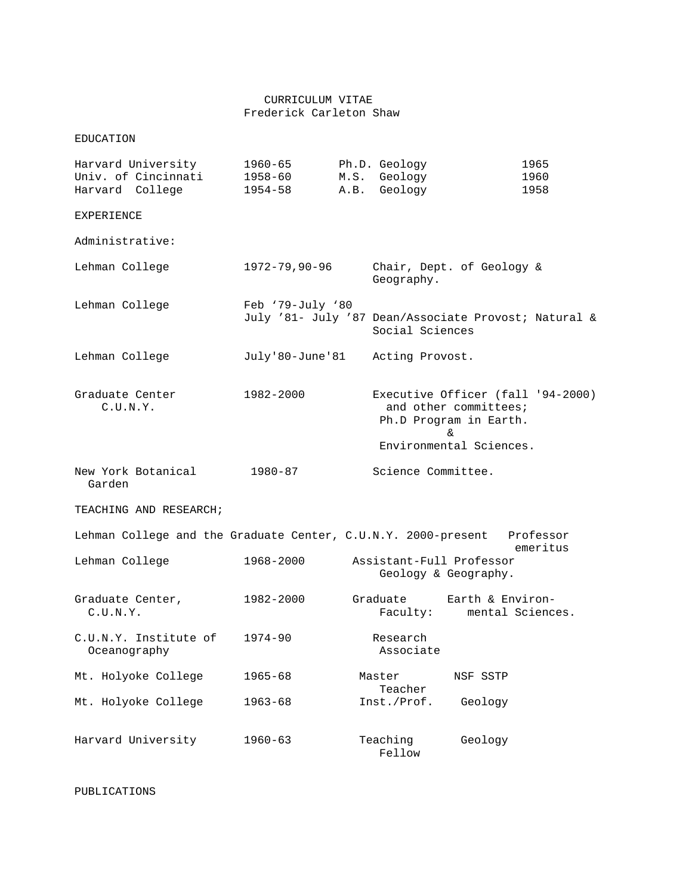## CURRICULUM VITAE Frederick Carleton Shaw

EDUCATION

| Harvard University<br>Univ. of Cincinnati<br>Harvard College  | $1960 - 65$<br>1958-60<br>$1954 - 58$ | M.S.<br>A.B.       | Ph.D. Geology<br>Geology<br>Geology                                     |                                                       | 1965<br>1960<br>1958              |
|---------------------------------------------------------------|---------------------------------------|--------------------|-------------------------------------------------------------------------|-------------------------------------------------------|-----------------------------------|
| <b>EXPERIENCE</b>                                             |                                       |                    |                                                                         |                                                       |                                   |
| Administrative:                                               |                                       |                    |                                                                         |                                                       |                                   |
|                                                               |                                       |                    |                                                                         |                                                       |                                   |
| Lehman College                                                | $1972 - 79,90 - 96$                   |                    | Chair, Dept. of Geology &<br>Geography.                                 |                                                       |                                   |
| Lehman College                                                | Feb '79-July '80                      |                    | July '81- July '87 Dean/Associate Provost; Natural &<br>Social Sciences |                                                       |                                   |
| Lehman College                                                | July'80-June'81                       |                    | Acting Provost.                                                         |                                                       |                                   |
| Graduate Center<br>C.U.N.Y.                                   | 1982-2000                             |                    |                                                                         | and other committees;<br>Ph.D Program in Earth.<br>&. | Executive Officer (fall '94-2000) |
|                                                               |                                       |                    | Environmental Sciences.                                                 |                                                       |                                   |
| New York Botanical<br>Garden                                  | $1980 - 87$                           | Science Committee. |                                                                         |                                                       |                                   |
| TEACHING AND RESEARCH;                                        |                                       |                    |                                                                         |                                                       |                                   |
| Lehman College and the Graduate Center, C.U.N.Y. 2000-present |                                       |                    |                                                                         |                                                       | Professor<br>emeritus             |
| Lehman College                                                | 1968-2000                             |                    | Assistant-Full Professor<br>Geology & Geography.                        |                                                       |                                   |
| Graduate Center,<br>C.U.N.Y.                                  | 1982-2000                             |                    | Graduate<br>Faculty:                                                    | Earth & Environ-<br>mental Sciences.                  |                                   |
| C.U.N.Y. Institute of<br>Oceanography                         | $1974 - 90$                           |                    | Research<br>Associate                                                   |                                                       |                                   |
| Mt. Holyoke College                                           | $1965 - 68$                           |                    | Master<br>Teacher                                                       | NSF SSTP                                              |                                   |
| Mt. Holyoke College                                           | $1963 - 68$                           |                    | Inst./Prof.                                                             | Geology                                               |                                   |
| Harvard University                                            | $1960 - 63$                           |                    | Teaching<br>Fellow                                                      | Geology                                               |                                   |

PUBLICATIONS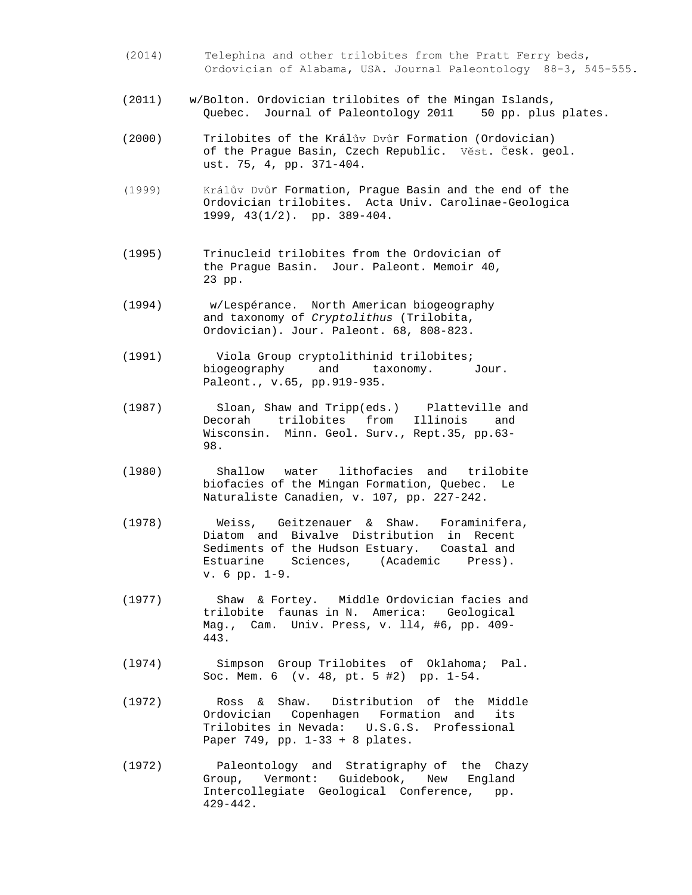- (2014) Telephina and other trilobites from the Pratt Ferry beds, Ordovician of Alabama, USA. Journal Paleontology 88-3, 545-555.
- (2011) w/Bolton. Ordovician trilobites of the Mingan Islands, Quebec. Journal of Paleontology 2011 50 pp. plus plates.
- (2000) Trilobites of the Králův Dvůr Formation (Ordovician) of the Prague Basin, Czech Republic. Věst. Česk. geol. ust. 75, 4, pp. 371-404.
- (1999) Králův Dvůr Formation, Prague Basin and the end of the Ordovician trilobites. Acta Univ. Carolinae-Geologica 1999, 43(1/2). pp. 389-404.
- (1995) Trinucleid trilobites from the Ordovician of the Prague Basin. Jour. Paleont. Memoir 40, 23 pp.
- (1994) w/Lespérance. North American biogeography and taxonomy of *Cryptolithus* (Trilobita, Ordovician). Jour. Paleont. 68, 808-823.
- (1991) Viola Group cryptolithinid trilobites; biogeography and taxonomy. Jour. Paleont., v.65, pp.919-935.
- (1987) Sloan, Shaw and Tripp(eds.) Platteville and Decorah trilobites from Illinois Wisconsin. Minn. Geol. Surv., Rept.35, pp.63- 98.
- (l980) Shallow water lithofacies and trilobite biofacies of the Mingan Formation, Quebec. Le Naturaliste Canadien, v. 107, pp. 227-242.
- (1978) Weiss, Geitzenauer & Shaw. Foraminifera, Diatom and Bivalve Distribution in Recent Sediments of the Hudson Estuary. Coastal and<br>Estuarine Sciences, (Academic Press). Estuarine Sciences, (Academic v. 6 pp. 1-9.
- (1977) Shaw & Fortey. Middle Ordovician facies and trilobite faunas in N. America: Geological Mag., Cam. Univ. Press, v. ll4, #6, pp. 409- 443.
- (l974) Simpson Group Trilobites of Oklahoma; Pal. Soc. Mem. 6 (v. 48, pt. 5 #2) pp. 1-54.
- (1972) Ross & Shaw. Distribution of the Middle Ordovician Copenhagen Formation and its Trilobites in Nevada: U.S.G.S. Professional Paper 749, pp. 1-33 + 8 plates.
- (1972) Paleontology and Stratigraphy of the Chazy Group, Vermont: Guidebook, New England Intercollegiate Geological Conference, pp. 429-442.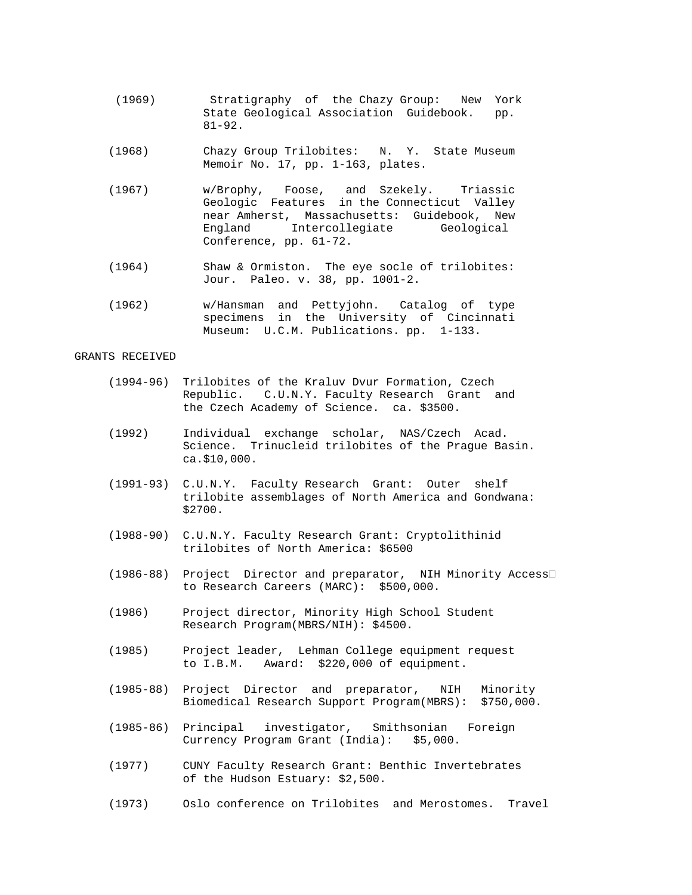- (1969) Stratigraphy of the Chazy Group: New York State Geological Association Guidebook. pp. 81-92.
- (1968) Chazy Group Trilobites: N. Y. State Museum Memoir No. 17, pp. 1-163, plates.
- (1967) w/Brophy, Foose, and Szekely. Triassic Geologic Features in the Connecticut Valley near Amherst, Massachusetts: Guidebook, New Intercollegiate Geological Conference, pp. 61-72.
	- (1964) Shaw & Ormiston. The eye socle of trilobites: Jour. Paleo. v. 38, pp. 1001-2.
	- (1962) w/Hansman and Pettyjohn. Catalog of type specimens in the University of Cincinnati Museum: U.C.M. Publications. pp. 1-133.

## GRANTS RECEIVED

- (1994-96) Trilobites of the Kraluv Dvur Formation, Czech Republic. C.U.N.Y. Faculty Research Grant and the Czech Academy of Science. ca. \$3500.
- (1992) Individual exchange scholar, NAS/Czech Acad. Science. Trinucleid trilobites of the Prague Basin. ca.\$10,000.
- (1991-93) C.U.N.Y. Faculty Research Grant: Outer shelf trilobite assemblages of North America and Gondwana: \$2700.
- (l988-90) C.U.N.Y. Faculty Research Grant: Cryptolithinid trilobites of North America: \$6500
- (1986-88) Project Director and preparator, NIH Minority Access to Research Careers (MARC): \$500,000.
- (1986) Project director, Minority High School Student Research Program(MBRS/NIH): \$4500.
- (1985) Project leader, Lehman College equipment request to I.B.M. Award: \$220,000 of equipment.
- (1985-88) Project Director and preparator, NIH Minority Biomedical Research Support Program(MBRS): \$750,000.
- (1985-86) Principal investigator, Smithsonian Foreign Currency Program Grant (India): \$5,000.
- (1977) CUNY Faculty Research Grant: Benthic Invertebrates of the Hudson Estuary: \$2,500.
- (1973) Oslo conference on Trilobites and Merostomes. Travel